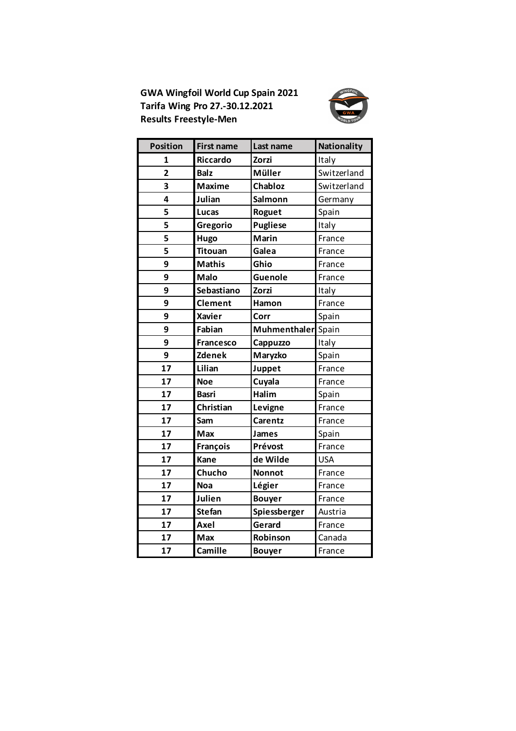**GWA Wingfoil World Cup Spain 2021 Tarifa Wing Pro 27.-30.12.2021 Results Freestyle-Men**



| <b>Position</b> | <b>First name</b> | Last name          | <b>Nationality</b> |
|-----------------|-------------------|--------------------|--------------------|
| 1               | <b>Riccardo</b>   | Zorzi              | Italy              |
| $\overline{2}$  | <b>Balz</b>       | Müller             | Switzerland        |
| 3               | <b>Maxime</b>     | Chabloz            | Switzerland        |
| 4               | Julian            | Salmonn            | Germany            |
| 5               | Lucas             | Roguet             | Spain              |
| 5               | Gregorio          | <b>Pugliese</b>    | Italy              |
| 5               | Hugo              | <b>Marin</b>       | France             |
| 5               | <b>Titouan</b>    | Galea              | France             |
| 9               | <b>Mathis</b>     | Ghio               | France             |
| 9               | <b>Malo</b>       | Guenole            | France             |
| 9               | Sebastiano        | <b>Zorzi</b>       | Italy              |
| 9               | <b>Clement</b>    | Hamon              | France             |
| 9               | <b>Xavier</b>     | Corr               | Spain              |
| 9               | Fabian            | Muhmenthaler Spain |                    |
| 9               | <b>Francesco</b>  | Cappuzzo           | Italy              |
| 9               | <b>Zdenek</b>     | Maryzko            | Spain              |
| 17              | Lilian            | Juppet             | France             |
| 17              | <b>Noe</b>        | Cuyala             | France             |
| 17              | <b>Basri</b>      | Halim              | Spain              |
| 17              | Christian         | Levigne            | France             |
| 17              | Sam               | Carentz            | France             |
| 17              | Max               | <b>James</b>       | Spain              |
| 17              | François          | Prévost            | France             |
| 17              | Kane              | de Wilde           | <b>USA</b>         |
| 17              | Chucho            | <b>Nonnot</b>      | France             |
| 17              | <b>Noa</b>        | Légier             | France             |
| 17              | Julien            | <b>Bouyer</b>      | France             |
| 17              | <b>Stefan</b>     | Spiessberger       | Austria            |
| 17              | Axel              | Gerard             | France             |
| 17              | Max               | Robinson           | Canada             |
| 17              | Camille           | <b>Bouyer</b>      | France             |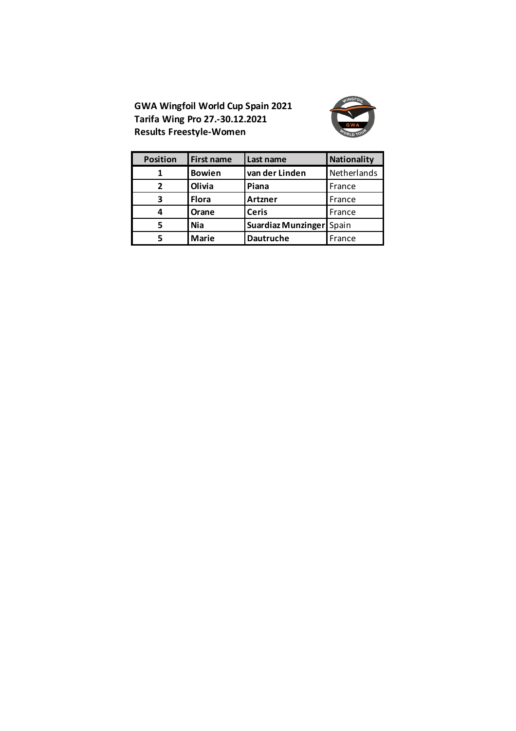**GWA Wingfoil World Cup Spain 2021 Tarifa Wing Pro 27.-30.12.2021 Results Freestyle-Women**



| <b>Position</b> | <b>First name</b> | Last name                | Nationality |
|-----------------|-------------------|--------------------------|-------------|
|                 | <b>Bowien</b>     | van der Linden           | Netherlands |
| $\overline{2}$  | <b>Olivia</b>     | Piana                    | France      |
| 3               | <b>Flora</b>      | Artzner                  | France      |
| 4               | <b>Orane</b>      | <b>Ceris</b>             | France      |
| 5               | <b>Nia</b>        | Suardiaz Munzinger Spain |             |
|                 | <b>Marie</b>      | <b>Dautruche</b>         | France      |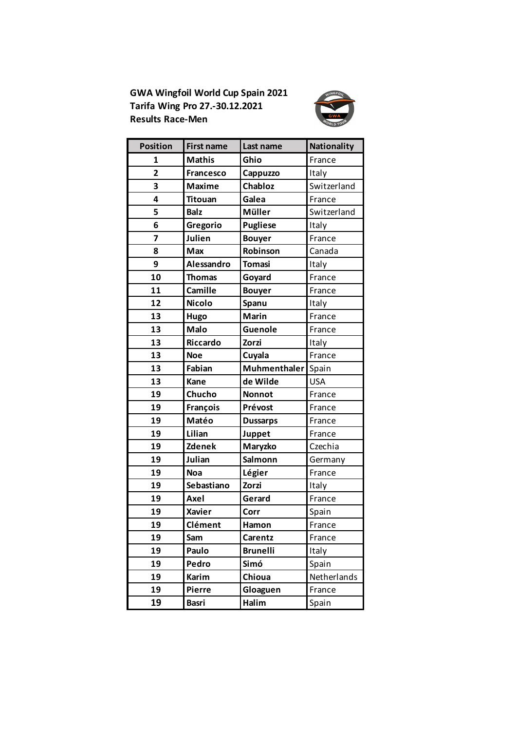**GWA Wingfoil World Cup Spain 2021 Tarifa Wing Pro 27.-30.12.2021 Results Race-Men**



| <b>Position</b> | <b>First name</b> | Last name       | <b>Nationality</b> |
|-----------------|-------------------|-----------------|--------------------|
| 1               | <b>Mathis</b>     | Ghio            | France             |
| 2               | <b>Francesco</b>  | Cappuzzo        | Italy              |
| 3               | <b>Maxime</b>     | Chabloz         | Switzerland        |
| 4               | <b>Titouan</b>    | Galea           | France             |
| 5               | <b>Balz</b>       | Müller          | Switzerland        |
| 6               | Gregorio          | <b>Pugliese</b> | Italy              |
| 7               | Julien            | <b>Bouyer</b>   | France             |
| 8               | Max               | Robinson        | Canada             |
| 9               | Alessandro        | <b>Tomasi</b>   | Italy              |
| 10              | <b>Thomas</b>     | Goyard          | France             |
| 11              | Camille           | <b>Bouyer</b>   | France             |
| 12              | <b>Nicolo</b>     | Spanu           | Italy              |
| 13              | Hugo              | <b>Marin</b>    | France             |
| 13              | <b>Malo</b>       | Guenole         | France             |
| 13              | Riccardo          | Zorzi           | Italy              |
| 13              | <b>Noe</b>        | Cuyala          | France             |
| 13              | Fabian            | Muhmenthaler    | Spain              |
| 13              | Kane              | de Wilde        | <b>USA</b>         |
| 19              | Chucho            | <b>Nonnot</b>   | France             |
| 19              | François          | Prévost         | France             |
| 19              | Matéo             | <b>Dussarps</b> | France             |
| 19              | Lilian            | Juppet          | France             |
| 19              | <b>Zdenek</b>     | Maryzko         | Czechia            |
| 19              | Julian            | Salmonn         | Germany            |
| 19              | <b>Noa</b>        | Légier          | France             |
| 19              | Sebastiano        | Zorzi           | Italy              |
| 19              | Axel              | Gerard          | France             |
| 19              | <b>Xavier</b>     | Corr            | Spain              |
| 19              | Clément           | <b>Hamon</b>    | France             |
| 19              | Sam               | Carentz         | France             |
| 19              | Paulo             | <b>Brunelli</b> | Italy              |
| 19              | Pedro             | Simó            | Spain              |
| 19              | Karim             | Chioua          | Netherlands        |
| 19              | Pierre            | Gloaguen        | France             |
| 19              | <b>Basri</b>      | Halim           | Spain              |